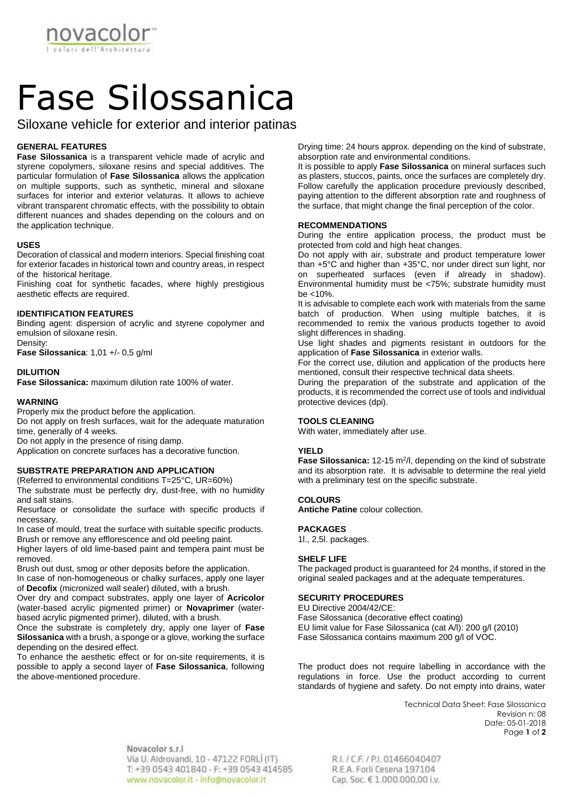

# Fase Silossanica

Siloxane vehicle for exterior and interior patinas

# **GENERAL FEATURES**

**Fase Silossanica** is a transparent vehicle made of acrylic and styrene copolymers, siloxane resins and special additives. The particular formulation of **Fase Silossanica** allows the application on multiple supports, such as synthetic, mineral and siloxane surfaces for interior and exterior velaturas. It allows to achieve vibrant transparent chromatic effects, with the possibility to obtain different nuances and shades depending on the colours and on the application technique.

#### **USES**

Decoration of classical and modern interiors. Special finishing coat for exterior facades in historical town and country areas, in respect of the historical heritage.

Finishing coat for synthetic facades, where highly prestigious aesthetic effects are required.

#### **IDENTIFICATION FEATURES**

Binding agent: dispersion of acrylic and styrene copolymer and emulsion of siloxane resin.

Density:

**Fase Silossanica**: 1,01 +/- 0,5 g/ml

#### **DILUITION**

**Fase Silossanica:** maximum dilution rate 100% of water.

### **WARNING**

Properly mix the product before the application.

Do not apply on fresh surfaces, wait for the adequate maturation time, generally of 4 weeks.

Do not apply in the presence of rising damp.

Application on concrete surfaces has a decorative function.

# **SUBSTRATE PREPARATION AND APPLICATION**

(Referred to environmental conditions T=25°C, UR=60%) The substrate must be perfectly dry, dust-free, with no humidity and salt stains.

Resurface or consolidate the surface with specific products if necessary.

In case of mould, treat the surface with suitable specific products. Brush or remove any efflorescence and old peeling paint.

Higher layers of old lime-based paint and tempera paint must be removed.

Brush out dust, smog or other deposits before the application. In case of non-homogeneous or chalky surfaces, apply one layer of **Decofix** (micronized wall sealer) diluted, with a brush.

Over dry and compact substrates, apply one layer of **Acricolor** (water-based acrylic pigmented primer) or **Novaprimer** (waterbased acrylic pigmented primer), diluted, with a brush.

Once the substrate is completely dry, apply one layer of **Fase Silossanica** with a brush, a sponge or a glove, working the surface depending on the desired effect.

To enhance the aesthetic effect or for on-site requirements, it is possible to apply a second layer of **Fase Silossanica**, following the above-mentioned procedure.

Drying time: 24 hours approx. depending on the kind of substrate, absorption rate and environmental conditions.

It is possible to apply **Fase Silossanica** on mineral surfaces such as plasters, stuccos, paints, once the surfaces are completely dry. Follow carefully the application procedure previously described, paying attention to the different absorption rate and roughness of the surface, that might change the final perception of the color.

#### **RECOMMENDATIONS**

During the entire application process, the product must be protected from cold and high heat changes.

Do not apply with air, substrate and product temperature lower than +5°C and higher than +35°C, nor under direct sun light, nor on superheated surfaces (even if already in shadow). Environmental humidity must be <75%; substrate humidity must be <10%.

It is advisable to complete each work with materials from the same batch of production. When using multiple batches, it is recommended to remix the various products together to avoid slight differences in shading.

Use light shades and pigments resistant in outdoors for the application of **Fase Silossanica** in exterior walls.

For the correct use, dilution and application of the products here mentioned, consult their respective technical data sheets.

During the preparation of the substrate and application of the products, it is recommended the correct use of tools and individual protective devices (dpi).

#### **TOOLS CLEANING**

With water, immediately after use.

# **YIELD**

**Fase Silossanica:** 12-15 m<sup>2</sup>/l, depending on the kind of substrate and its absorption rate. It is advisable to determine the real yield with a preliminary test on the specific substrate.

# **COLOURS**

**Antiche Patine** colour collection.

#### **PACKAGES**

1l., 2,5l. packages.

# **SHELF LIFE**

The packaged product is guaranteed for 24 months, if stored in the original sealed packages and at the adequate temperatures.

#### **SECURITY PROCEDURES**

EU Directive 2004/42/CE: Fase Silossanica (decorative effect coating) EU limit value for Fase Silossanica (cat A/l): 200 g/l (2010) Fase Silossanica contains maximum 200 g/l of VOC.

The product does not require labelling in accordance with the regulations in force. Use the product according to current standards of hygiene and safety. Do not empty into drains, water

> Technical Data Sheet: Fase Silossanica Revision n: 08 Date: 05-01-2018 Page **1** of **2**

Novacolor s.r.l Via U. Aldrovandi, 10 - 47122 FORLI (IT) T: +39 0543 401840 - F: +39 0543 414585 www.novacolor.it - info@novacolor.it

R.I. / C.F. / P.I. 01466040407 R.E.A. Forlí Cesena 197104 Cap. Soc. € 1.000.000,00 i.v.